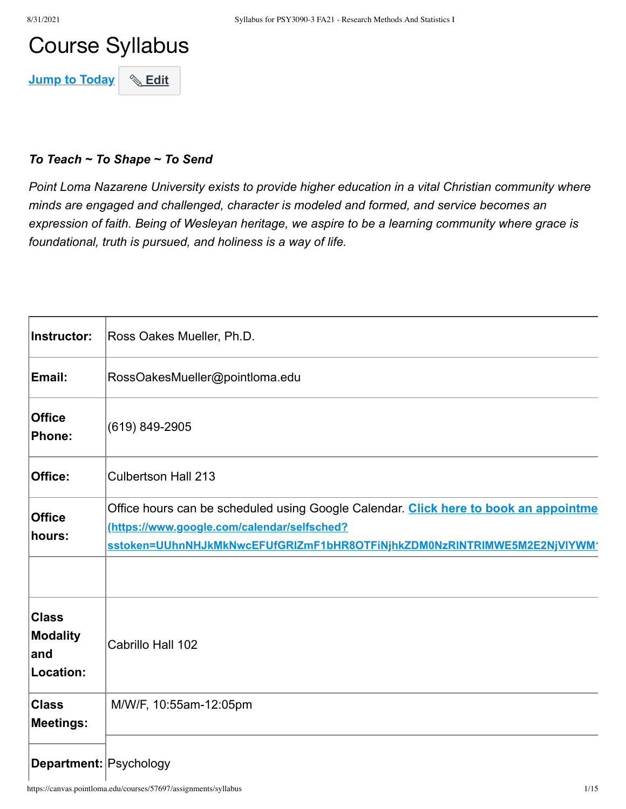# Course Syllabus

**Jump to Today & Edit** 

#### *To Teach ~ To Shape ~ To Send*

*Point Loma Nazarene University exists to provide higher education in a vital Christian community where minds are engaged and challenged, character is modeled and formed, and service becomes an expression of faith. Being of Wesleyan heritage, we aspire to be a learning community where grace is foundational, truth is pursued, and holiness is a way of life.*

| Instructor:                                   | Ross Oakes Mueller, Ph.D.                                                                                                                                                                                       |
|-----------------------------------------------|-----------------------------------------------------------------------------------------------------------------------------------------------------------------------------------------------------------------|
| Email:                                        | RossOakesMueller@pointloma.edu                                                                                                                                                                                  |
| <b>Office</b><br>Phone:                       | (619) 849-2905                                                                                                                                                                                                  |
| Office:                                       | <b>Culbertson Hall 213</b>                                                                                                                                                                                      |
| <b>Office</b><br>hours:                       | Office hours can be scheduled using Google Calendar. Click here to book an appointme<br>(https://www.google.com/calendar/selfsched?<br>sstoken=UUhnNHJkMkNwcEFUfGRIZmF1bHR8OTFiNjhkZDM0NzRINTRIMWE5M2E2NjVIYWM' |
| <b>Class</b><br>Modality<br>land<br>Location: | Cabrillo Hall 102                                                                                                                                                                                               |
| <b>Class</b><br><b>Meetings:</b>              | M/W/F, 10:55am-12:05pm                                                                                                                                                                                          |
| Department: Psychology                        |                                                                                                                                                                                                                 |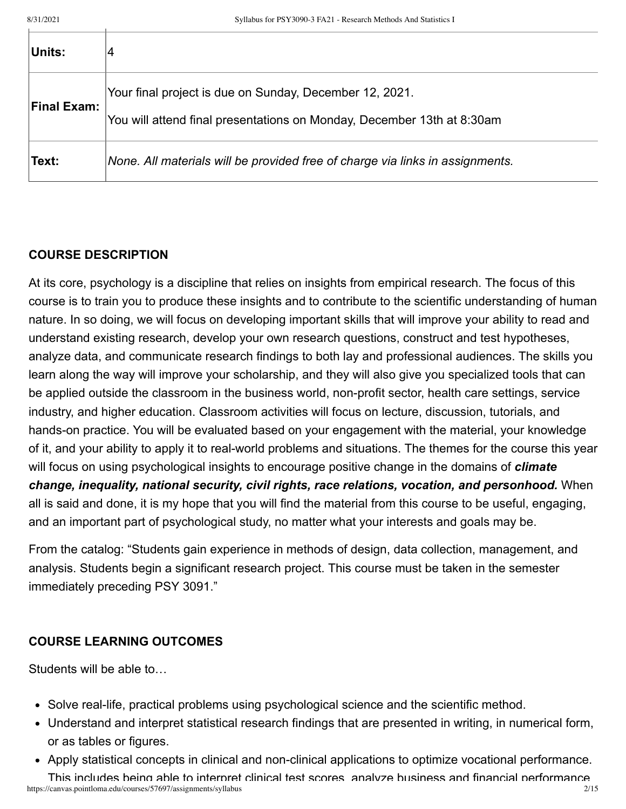| Units:             | 14                                                                                                                                |
|--------------------|-----------------------------------------------------------------------------------------------------------------------------------|
| <b>Final Exam:</b> | Your final project is due on Sunday, December 12, 2021.<br>You will attend final presentations on Monday, December 13th at 8:30am |
| ∣Text:             | None. All materials will be provided free of charge via links in assignments.                                                     |

### **COURSE DESCRIPTION**

At its core, psychology is a discipline that relies on insights from empirical research. The focus of this course is to train you to produce these insights and to contribute to the scientific understanding of human nature. In so doing, we will focus on developing important skills that will improve your ability to read and understand existing research, develop your own research questions, construct and test hypotheses, analyze data, and communicate research findings to both lay and professional audiences. The skills you learn along the way will improve your scholarship, and they will also give you specialized tools that can be applied outside the classroom in the business world, non-profit sector, health care settings, service industry, and higher education. Classroom activities will focus on lecture, discussion, tutorials, and hands-on practice. You will be evaluated based on your engagement with the material, your knowledge of it, and your ability to apply it to real-world problems and situations. The themes for the course this year will focus on using psychological insights to encourage positive change in the domains of *climate change, inequality, national security, civil rights, race relations, vocation, and personhood.* When all is said and done, it is my hope that you will find the material from this course to be useful, engaging, and an important part of psychological study, no matter what your interests and goals may be.

From the catalog: "Students gain experience in methods of design, data collection, management, and analysis. Students begin a significant research project. This course must be taken in the semester immediately preceding PSY 3091."

### **COURSE LEARNING OUTCOMES**

Students will be able to…

- Solve real-life, practical problems using psychological science and the scientific method.
- Understand and interpret statistical research findings that are presented in writing, in numerical form, or as tables or figures.
- Apply statistical concepts in clinical and non-clinical applications to optimize vocational performance.

https://canvas.pointloma.edu/courses/57697/assignments/syllabus 2/15 This includes being able to interpret clinical test scores analyze business and financial performance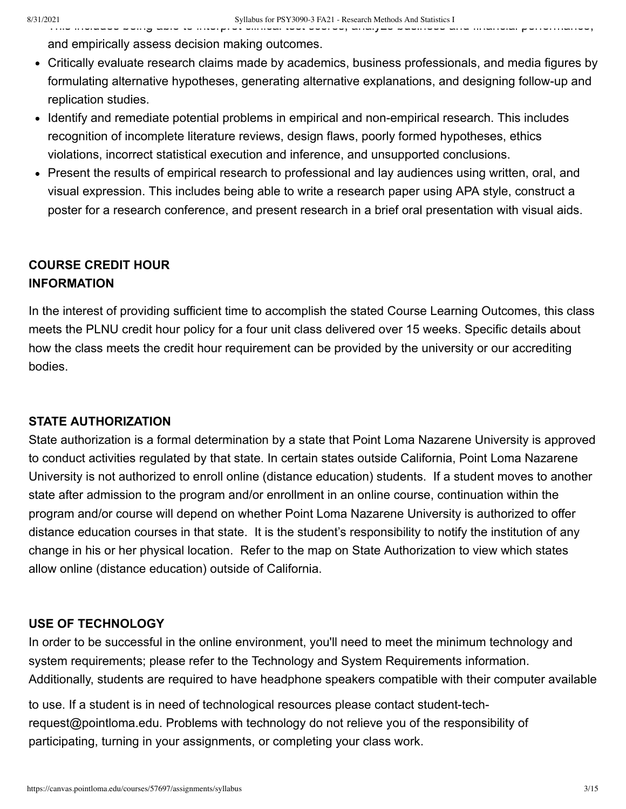This includes being able to interpret clinical test scores, analyze business and financial performance,

and empirically assess decision making outcomes.

- Critically evaluate research claims made by academics, business professionals, and media figures by formulating alternative hypotheses, generating alternative explanations, and designing follow-up and replication studies.
- Identify and remediate potential problems in empirical and non-empirical research. This includes recognition of incomplete literature reviews, design flaws, poorly formed hypotheses, ethics violations, incorrect statistical execution and inference, and unsupported conclusions.
- Present the results of empirical research to professional and lay audiences using written, oral, and visual expression. This includes being able to write a research paper using APA style, construct a poster for a research conference, and present research in a brief oral presentation with visual aids.

# **COURSE CREDIT HOUR INFORMATION**

In the interest of providing sufficient time to accomplish the stated Course Learning Outcomes, this class meets the PLNU credit hour policy for a four unit class delivered over 15 weeks. Specific details about how the class meets the credit hour requirement can be provided by the university or our accrediting bodies.

### **STATE AUTHORIZATION**

State authorization is a formal determination by a state that Point Loma Nazarene University is approved to conduct activities regulated by that state. In certain states outside California, Point Loma Nazarene University is not authorized to enroll online (distance education) students. If a student moves to another state after admission to the program and/or enrollment in an online course, continuation within the program and/or course will depend on whether Point Loma Nazarene University is authorized to offer distance education courses in that state. It is the student's responsibility to notify the institution of any change in his or her physical location. Refer to the map on State Authorization to view which states allow online (distance education) outside of California.

### **USE OF TECHNOLOGY**

In order to be successful in the online environment, you'll need to meet the minimum technology and system requirements; please refer to the Technology and System Requirements information. Additionally, students are required to have headphone speakers compatible with their computer available

to use. If a student is in need of technological resources please contact student-techrequest@pointloma.edu. Problems with technology do not relieve you of the responsibility of participating, turning in your assignments, or completing your class work.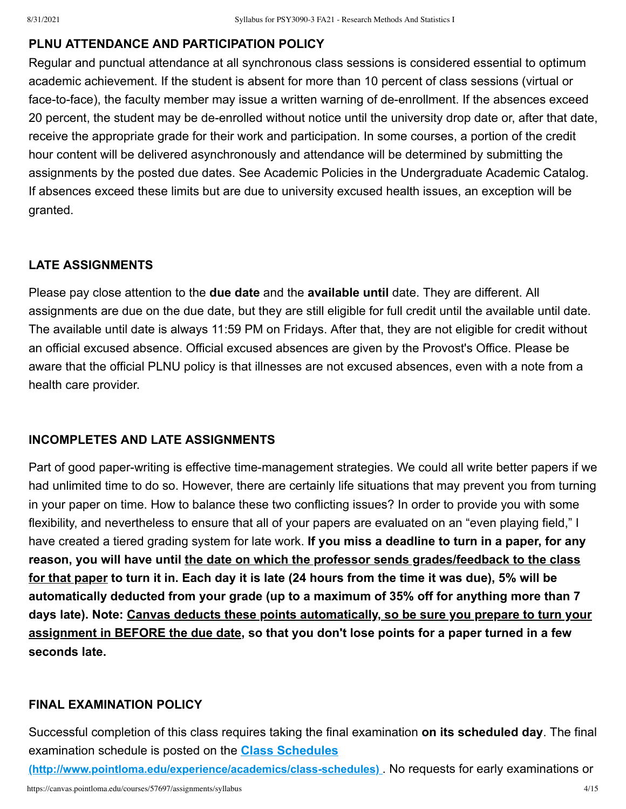### **PLNU ATTENDANCE AND PARTICIPATION POLICY**

Regular and punctual attendance at all synchronous class sessions is considered essential to optimum academic achievement. If the student is absent for more than 10 percent of class sessions (virtual or face-to-face), the faculty member may issue a written warning of de-enrollment. If the absences exceed 20 percent, the student may be de-enrolled without notice until the university drop date or, after that date, receive the appropriate grade for their work and participation. In some courses, a portion of the credit hour content will be delivered asynchronously and attendance will be determined by submitting the assignments by the posted due dates. See Academic Policies in the Undergraduate Academic Catalog. If absences exceed these limits but are due to university excused health issues, an exception will be granted.

# **LATE ASSIGNMENTS**

Please pay close attention to the **due date** and the **available until** date. They are different. All assignments are due on the due date, but they are still eligible for full credit until the available until date. The available until date is always 11:59 PM on Fridays. After that, they are not eligible for credit without an official excused absence. Official excused absences are given by the Provost's Office. Please be aware that the official PLNU policy is that illnesses are not excused absences, even with a note from a health care provider.

### **INCOMPLETES AND LATE ASSIGNMENTS**

Part of good paper-writing is effective time-management strategies. We could all write better papers if we had unlimited time to do so. However, there are certainly life situations that may prevent you from turning in your paper on time. How to balance these two conflicting issues? In order to provide you with some flexibility, and nevertheless to ensure that all of your papers are evaluated on an "even playing field," I have created a tiered grading system for late work. **If you miss a deadline to turn in a paper, for any reason, you will have until the date on which the professor sends grades/feedback to the class for that paper to turn it in. Each day it is late (24 hours from the time it was due), 5% will be automatically deducted from your grade (up to a maximum of 35% off for anything more than 7 days late). Note: Canvas deducts these points automatically, so be sure you prepare to turn your assignment in BEFORE the due date, so that you don't lose points for a paper turned in a few seconds late.**

#### **FINAL EXAMINATION POLICY**

Successful completion of this class requires taking the final examination **on its scheduled day**. The final examination schedule is posted on the **Class Schedules**

**[\(http://www.pointloma.edu/experience/academics/class-schedules\)](http://www.pointloma.edu/experience/academics/class-schedules)** . No requests for early examinations or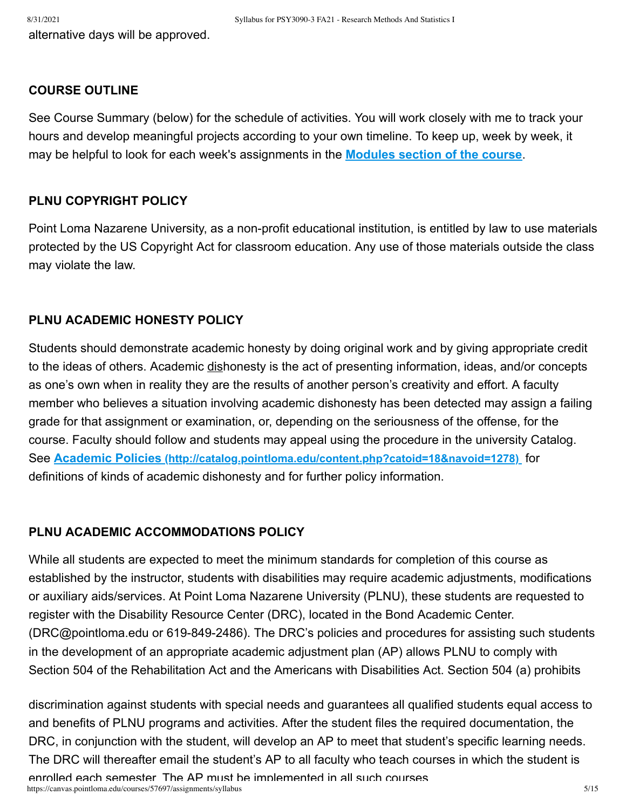alternative days will be approved.

#### **COURSE OUTLINE**

See Course Summary (below) for the schedule of activities. You will work closely with me to track your hours and develop meaningful projects according to your own timeline. To keep up, week by week, it may be helpful to look for each week's assignments in the **[Modules section of the course](https://canvas.pointloma.edu/courses/57697/modules/193875)**.

#### **PLNU COPYRIGHT POLICY**

Point Loma Nazarene University, as a non-profit educational institution, is entitled by law to use materials protected by the US Copyright Act for classroom education. Any use of those materials outside the class may violate the law.

### **PLNU ACADEMIC HONESTY POLICY**

Students should demonstrate academic honesty by doing original work and by giving appropriate credit to the ideas of others. Academic dishonesty is the act of presenting information, ideas, and/or concepts as one's own when in reality they are the results of another person's creativity and effort. A faculty member who believes a situation involving academic dishonesty has been detected may assign a failing grade for that assignment or examination, or, depending on the seriousness of the offense, for the course. Faculty should follow and students may appeal using the procedure in the university Catalog. See **Academic Policies [\(http://catalog.pointloma.edu/content.php?catoid=18&navoid=1278\)](http://catalog.pointloma.edu/content.php?catoid=18&navoid=1278)** for definitions of kinds of academic dishonesty and for further policy information.

#### **PLNU ACADEMIC ACCOMMODATIONS POLICY**

While all students are expected to meet the minimum standards for completion of this course as established by the instructor, students with disabilities may require academic adjustments, modifications or auxiliary aids/services. At Point Loma Nazarene University (PLNU), these students are requested to register with the Disability Resource Center (DRC), located in the Bond Academic Center. (DRC@pointloma.edu or 619-849-2486). The DRC's policies and procedures for assisting such students in the development of an appropriate academic adjustment plan (AP) allows PLNU to comply with Section 504 of the Rehabilitation Act and the Americans with Disabilities Act. Section 504 (a) prohibits

discrimination against students with special needs and guarantees all qualified students equal access to and benefits of PLNU programs and activities. After the student files the required documentation, the DRC, in conjunction with the student, will develop an AP to meet that student's specific learning needs. The DRC will thereafter email the student's AP to all faculty who teach courses in which the student is enrolled each semester The AP must be implemented in all such courses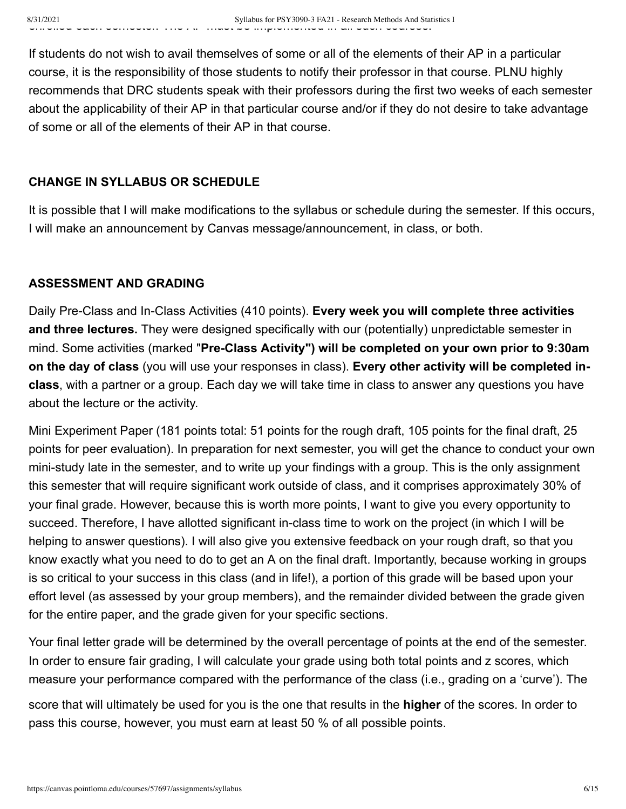If students do not wish to avail themselves of some or all of the elements of their AP in a particular course, it is the responsibility of those students to notify their professor in that course. PLNU highly recommends that DRC students speak with their professors during the first two weeks of each semester about the applicability of their AP in that particular course and/or if they do not desire to take advantage of some or all of the elements of their AP in that course.

# **CHANGE IN SYLLABUS OR SCHEDULE**

It is possible that I will make modifications to the syllabus or schedule during the semester. If this occurs, I will make an announcement by Canvas message/announcement, in class, or both.

# **ASSESSMENT AND GRADING**

Daily Pre-Class and In-Class Activities (410 points). **Every week you will complete three activities and three lectures.** They were designed specifically with our (potentially) unpredictable semester in mind. Some activities (marked "**Pre-Class Activity") will be completed on your own prior to 9:30am on the day of class** (you will use your responses in class). **Every other activity will be completed inclass**, with a partner or a group. Each day we will take time in class to answer any questions you have about the lecture or the activity.

Mini Experiment Paper (181 points total: 51 points for the rough draft, 105 points for the final draft, 25 points for peer evaluation). In preparation for next semester, you will get the chance to conduct your own mini-study late in the semester, and to write up your findings with a group. This is the only assignment this semester that will require significant work outside of class, and it comprises approximately 30% of your final grade. However, because this is worth more points, I want to give you every opportunity to succeed. Therefore, I have allotted significant in-class time to work on the project (in which I will be helping to answer questions). I will also give you extensive feedback on your rough draft, so that you know exactly what you need to do to get an A on the final draft. Importantly, because working in groups is so critical to your success in this class (and in life!), a portion of this grade will be based upon your effort level (as assessed by your group members), and the remainder divided between the grade given for the entire paper, and the grade given for your specific sections.

Your final letter grade will be determined by the overall percentage of points at the end of the semester. In order to ensure fair grading, I will calculate your grade using both total points and z scores, which measure your performance compared with the performance of the class (i.e., grading on a 'curve'). The

score that will ultimately be used for you is the one that results in the **higher** of the scores. In order to pass this course, however, you must earn at least 50 % of all possible points.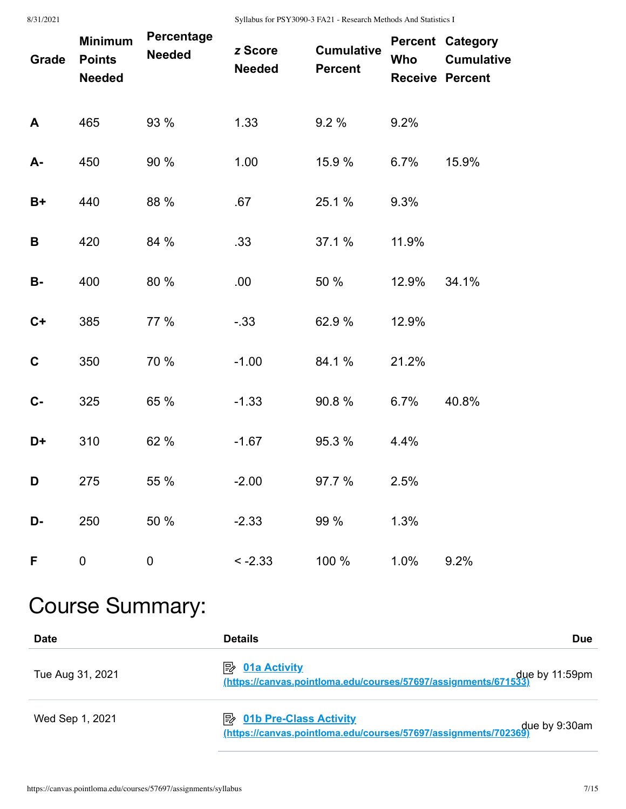8/31/2021 Syllabus for PSY3090-3 FA21 - Research Methods And Statistics I

| Grade       | <b>Minimum</b><br><b>Points</b><br><b>Needed</b> | Percentage<br><b>Needed</b> | z Score<br><b>Needed</b> | <b>Cumulative</b><br><b>Percent</b> | Who   | <b>Percent Category</b><br><b>Cumulative</b><br><b>Receive Percent</b> |
|-------------|--------------------------------------------------|-----------------------------|--------------------------|-------------------------------------|-------|------------------------------------------------------------------------|
| A           | 465                                              | 93 %                        | 1.33                     | 9.2%                                | 9.2%  |                                                                        |
| A-          | 450                                              | 90 %                        | 1.00                     | 15.9 %                              | 6.7%  | 15.9%                                                                  |
| $B+$        | 440                                              | 88 %                        | .67                      | 25.1 %                              | 9.3%  |                                                                        |
| B           | 420                                              | 84 %                        | .33                      | 37.1 %                              | 11.9% |                                                                        |
| <b>B-</b>   | 400                                              | 80 %                        | .00                      | 50 %                                | 12.9% | 34.1%                                                                  |
| $C+$        | 385                                              | 77 %                        | $-33$                    | 62.9 %                              | 12.9% |                                                                        |
| $\mathbf C$ | 350                                              | 70 %                        | $-1.00$                  | 84.1 %                              | 21.2% |                                                                        |
| $C -$       | 325                                              | 65 %                        | $-1.33$                  | 90.8%                               | 6.7%  | 40.8%                                                                  |
| D+          | 310                                              | 62 %                        | $-1.67$                  | 95.3 %                              | 4.4%  |                                                                        |
| D           | 275                                              | 55 %                        | $-2.00$                  | 97.7 %                              | 2.5%  |                                                                        |
| D-          | 250                                              | 50 %                        | $-2.33$                  | 99 %                                | 1.3%  |                                                                        |
| F           | 0                                                | 0                           | $-2.33$                  | 100 %                               | 1.0%  | 9.2%                                                                   |

# Course Summary:

| <b>Date</b>      | <b>Details</b><br><b>Due</b>                                                                                        |
|------------------|---------------------------------------------------------------------------------------------------------------------|
| Tue Aug 31, 2021 | $\mathbb{R}$ 01a Activity<br>due by 11:59pm <u>(https://canvas.pointloma.edu/courses/57697/assignments/671533)</u>  |
| Wed Sep 1, 2021  | <b>A</b> 01b Pre-Class Activity<br>due by 9:30am<br>(https://canvas.pointloma.edu/courses/57697/assignments/702369) |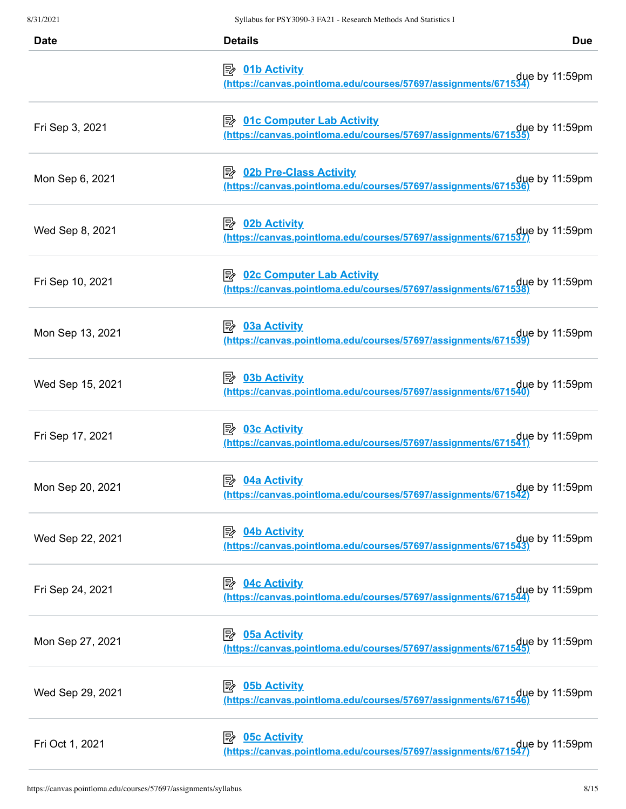| <b>Date</b>      | <b>Details</b>                                                                                                                                                                                                | <b>Due</b> |  |
|------------------|---------------------------------------------------------------------------------------------------------------------------------------------------------------------------------------------------------------|------------|--|
|                  | <b>Depter 19 10 15 Activity</b><br>due by 11:59pm (https://canvas.pointloma.edu/courses/57697/assignments/671534)                                                                                             |            |  |
| Fri Sep 3, 2021  | <b>B 01c Computer Lab Activity</b><br>due by 11:59pm<br>https://canvas.pointloma.edu/courses/57697/assignments/671535)                                                                                        |            |  |
| Mon Sep 6, 2021  | <b>B</b> 02b Pre-Class Activity<br>due by 11:59pm<br>https://canvas.pointloma.edu/courses/57697/assignments/671536)                                                                                           |            |  |
| Wed Sep 8, 2021  | <u>02b Activity</u><br>due by 11:59pm (https://canvas.pointloma.edu/courses/57697/assignments/671537)                                                                                                         |            |  |
| Fri Sep 10, 2021 | <b>E</b> 02c Computer Lab Activity<br>due by 11:59pm due thttps://canvas.pointloma.edu/courses/57697/assignments/671538)                                                                                      |            |  |
| Mon Sep 13, 2021 | ■ 03a Activity<br>due by 11:59pm due to the thes://canvas.pointloma.edu/courses/57697/assignments/671539)                                                                                                     |            |  |
| Wed Sep 15, 2021 | <b><i><u>② 03b Activity</u></i></b><br>due by 11:59pm due to the thes://canvas.pointloma.edu/courses/57697/assignments/671540)                                                                                |            |  |
| Fri Sep 17, 2021 | 5≽<br><b>03c Activity</b><br>$que$ by 11:59pm<br>https://canvas.pointloma.edu/courses/57697/assignments/671541                                                                                                |            |  |
| Mon Sep 20, 2021 | 04a Activity<br> 診<br>due by 11:59pm (https://canvas.pointloma.edu/courses/57697/assignments/671542)                                                                                                          |            |  |
| Wed Sep 22, 2021 | 04b Activity<br>ぼ<br>due by 11:59pm due thttps://canvas.pointloma.edu/courses/57697/assignments/671543)                                                                                                       |            |  |
| Fri Sep 24, 2021 | <b>04c Activity</b><br>零<br>due by 11:59pm due to the these of the series of the series of the series of the series of the series of the s<br>Methos://canvas.pointloma.edu/courses/57697/assignments/671544) |            |  |
| Mon Sep 27, 2021 | ⊯<br><b>05a Activity</b><br>due by 11:59pm due thttps://canvas.pointloma.edu/courses/57697/assignments/671545)                                                                                                |            |  |
| Wed Sep 29, 2021 | <b>05b Activity</b><br>⊯≽<br>due by 11:59pm due to the thes://canvas.pointloma.edu/courses/57697/assignments/671546)                                                                                          |            |  |
| Fri Oct 1, 2021  | <b>05c Activity</b><br>ぽん<br>due by 11:59pm (https://canvas.pointloma.edu/courses/57697/assignments/671547)                                                                                                   |            |  |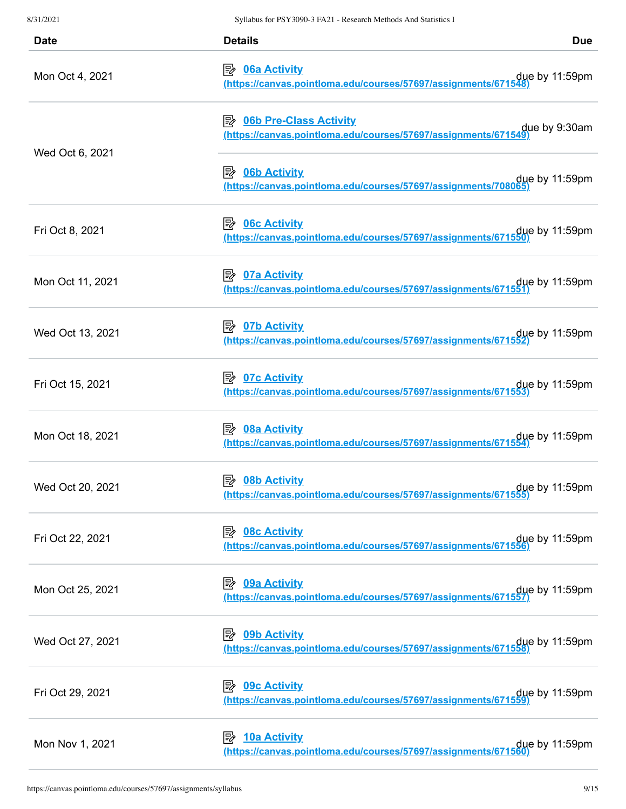| <b>Date</b>      | <b>Details</b>                                                                                                           | <b>Due</b> |
|------------------|--------------------------------------------------------------------------------------------------------------------------|------------|
| Mon Oct 4, 2021  | <u>≫ 06a Activity</u><br>due by 11:59pm.<br><u>(https://canvas.pointloma.edu/courses/57697/assignments/671548)</u>       |            |
| Wed Oct 6, 2021  | <b>B 06b Pre-Class Activity</b><br>due by 9:30am (https://canvas.pointloma.edu/courses/57697/assignments/671549)         |            |
|                  | <b>D6b Activity</b><br>$que$ by 11:59pm<br>https://canvas.pointloma.edu/courses/57697/assignments/708065                 |            |
| Fri Oct 8, 2021  | ■ 06c Activity<br>due by 11:59pm due to the thes://canvas.pointloma.edu/courses/57697/assignments/671550)                |            |
| Mon Oct 11, 2021 | <u>≫ 07a Activity</u><br>due by 11:59pm due to the thes://canvas.pointloma.edu/courses/57697/assignments/671551)         |            |
| Wed Oct 13, 2021 | <u>⊅ 07b Activity</u><br>due by 11:59pm .<br><u>(https://canvas.pointloma.edu/courses/57697/assignments/671552)</u>      |            |
| Fri Oct 15, 2021 | $\Rightarrow$ 07c Activity<br>due by 11:59pm .<br><u>(https://canvas.pointIoma.edu/courses/57697/assignments/671553)</u> |            |
| Mon Oct 18, 2021 | ■ 08a Activity<br>due by 11:59pm.// <u>https://canvas.pointIoma.edu/courses/57697/assignments/671554</u>                 |            |
| Wed Oct 20, 2021 | <b>08b Activity</b><br> 診<br>due by 11:59pm<br><u>(https://canvas.pointloma.edu/courses/57697/assignments/671555)</u>    |            |
| Fri Oct 22, 2021 | due by 11:59pm due to the thes://canvas.pointloma.edu/courses/57697/assignments/671556)                                  |            |
| Mon Oct 25, 2021 | 09a Activity<br>影<br>due by 11:59pm (https://canvas.pointloma.edu/courses/57697/assignments/671557)                      |            |
| Wed Oct 27, 2021 | 診<br><b>09b Activity</b><br>due by 11:59pm .<br><u>(https://canvas.pointIoma.edu/courses/57697/assignments/671558)</u>   |            |
| Fri Oct 29, 2021 | ■ 09c Activity<br>due by 11:59pm .<br><u>(https://canvas.pointloma.edu/courses/57697/assignments/671559)</u>             |            |
| Mon Nov 1, 2021  | <b>10a Activity</b><br>影<br>due by 11:59pm due to the thes://canvas.pointloma.edu/courses/57697/assignments/671560)      |            |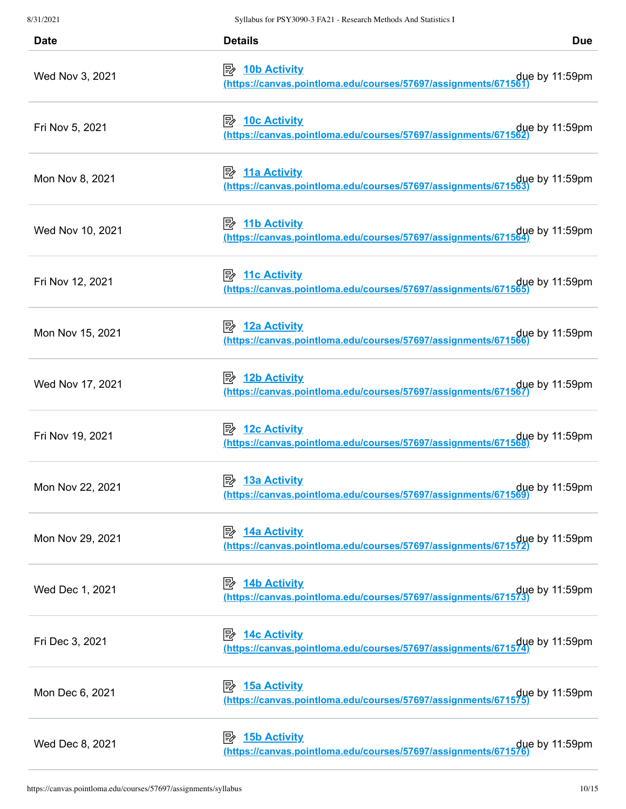| <b>Date</b>      | <b>Details</b>                                                                                                   | <b>Due</b>     |
|------------------|------------------------------------------------------------------------------------------------------------------|----------------|
| Wed Nov 3, 2021  | ■ 10b Activity<br>due by 11:59pm (https://canvas.pointloma.edu/courses/57697/assignments/671561)                 |                |
| Fri Nov 5, 2021  | due by 11:59pm<br>https://canvas.pointloma.edu/courses/57697/assignments/671562)                                 |                |
| Mon Nov 8, 2021  | due by 11:59pm due to the thes://canvas.pointloma.edu/courses/57697/assignments/671563)                          |                |
| Wed Nov 10, 2021 | <b>11b Activity</b><br>due by 11:59pm due to the thes://canvas.pointloma.edu/courses/57697/assignments/671564)   |                |
| Fri Nov 12, 2021 | due by 11:59pm due to the thes://canvas.pointloma.edu/courses/57697/assignments/671565)                          |                |
| Mon Nov 15, 2021 | <u>→ 12a Activity</u><br>due by 11:59pm due to the thes://canvas.pointloma.edu/courses/57697/assignments/671566) |                |
| Wed Nov 17, 2021 | ■ 12b Activity<br>due by 11:59pm (https://canvas.pointloma.edu/courses/57697/assignments/671567)                 |                |
| Fri Nov 19, 2021 | $\Rightarrow$ 12c Activity<br>due by 11:59pm.//https://canvas.pointloma.edu/courses/57697/assignments/671568     |                |
| Mon Nov 22, 2021 | 彫<br><b>13a Activity</b><br><u>(https://canvas.pointloma.edu/courses/57697/assignments/671569)</u>               | due by 11:59pm |
| Mon Nov 29, 2021 | <b>14a Activity</b><br>影<br>due by 11:59pm (https://canvas.pointloma.edu/courses/57697/assignments/671572)       |                |
| Wed Dec 1, 2021  | <b>14b Activity</b><br>彫<br>due by 11:59pm (https://canvas.pointloma.edu/courses/57697/assignments/671573)       |                |
| Fri Dec 3, 2021  | <i><b>E</b></i> 14c Activity<br>due by 11:59pm (https://canvas.pointloma.edu/courses/57697/assignments/671574)   |                |
| Mon Dec 6, 2021  | ■ 15a Activity<br>due by 11:59pm (https://canvas.pointloma.edu/courses/57697/assignments/671575)                 |                |
| Wed Dec 8, 2021  | <b>15b Activity</b><br>⊯<br>due by 11:59pm (https://canvas.pointloma.edu/courses/57697/assignments/671576)       |                |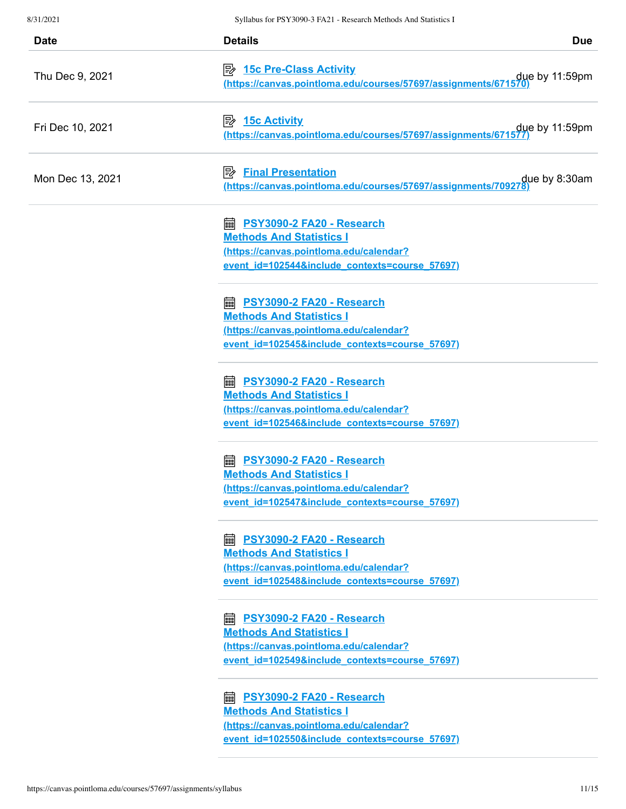| <b>Date</b>      | <b>Details</b>                                                                                                                                                     | <b>Due</b> |
|------------------|--------------------------------------------------------------------------------------------------------------------------------------------------------------------|------------|
| Thu Dec 9, 2021  | due by 11:59pm (https://canvas.pointloma.edu/courses/57697/assignments/671570)                                                                                     |            |
| Fri Dec 10, 2021 | 零<br><b>15c Activity</b><br>due by 11:59pm (https://canvas.pointloma.edu/courses/57697/assignments/671577)                                                         |            |
| Mon Dec 13, 2021 | <b>Final Presentation</b><br>吟                                                                                                                                     |            |
|                  | <b>a PSY3090-2 FA20 - Research</b><br><b>Methods And Statistics I</b><br>(https://canvas.pointloma.edu/calendar?<br>event id=102544&include contexts=course 57697) |            |
|                  | PSY3090-2 FA20 - Research<br>翩<br><b>Methods And Statistics I</b><br>(https://canvas.pointloma.edu/calendar?<br>event id=102545&include contexts=course 57697)     |            |
|                  | PSY3090-2 FA20 - Research<br>繭<br><b>Methods And Statistics I</b><br>(https://canvas.pointloma.edu/calendar?<br>event id=102546&include contexts=course 57697)     |            |
|                  | PSY3090-2 FA20 - Research<br>匾<br><b>Methods And Statistics I</b><br>(https://canvas.pointloma.edu/calendar?<br>event id=102547&include contexts=course 57697)     |            |
|                  | <b>■ PSY3090-2 FA20 - Research</b><br><b>Methods And Statistics I</b><br>(https://canvas.pointloma.edu/calendar?<br>event id=102548&include contexts=course 57697) |            |
|                  | <b>■ PSY3090-2 FA20 - Research</b><br><b>Methods And Statistics I</b><br>(https://canvas.pointloma.edu/calendar?<br>event id=102549&include contexts=course 57697) |            |
|                  | <b>a PSY3090-2 FA20 - Research</b><br><b>Methods And Statistics I</b><br>(https://canvas.pointloma.edu/calendar?<br>event id=102550&include contexts=course 57697) |            |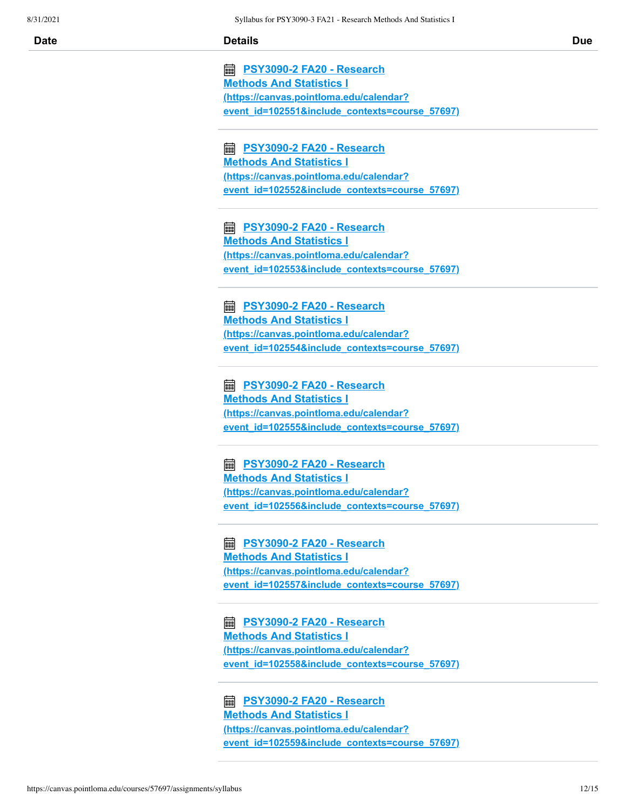**PSY3090-2 FA20 - Research Methods And Statistics I (https://canvas.pointloma.edu/calendar? [event\\_id=102551&include\\_contexts=course\\_57697\)](https://canvas.pointloma.edu/calendar?event_id=102551&include_contexts=course_57697)**

 **PSY3090-2 FA20 - Research Methods And Statistics I (https://canvas.pointloma.edu/calendar? [event\\_id=102552&include\\_contexts=course\\_57697\)](https://canvas.pointloma.edu/calendar?event_id=102552&include_contexts=course_57697)**

 **PSY3090-2 FA20 - Research Methods And Statistics I (https://canvas.pointloma.edu/calendar? [event\\_id=102553&include\\_contexts=course\\_57697\)](https://canvas.pointloma.edu/calendar?event_id=102553&include_contexts=course_57697)**

 **PSY3090-2 FA20 - Research Methods And Statistics I (https://canvas.pointloma.edu/calendar? [event\\_id=102554&include\\_contexts=course\\_57697\)](https://canvas.pointloma.edu/calendar?event_id=102554&include_contexts=course_57697)**

 **PSY3090-2 FA20 - Research Methods And Statistics I (https://canvas.pointloma.edu/calendar? [event\\_id=102555&include\\_contexts=course\\_57697\)](https://canvas.pointloma.edu/calendar?event_id=102555&include_contexts=course_57697)**

 **PSY3090-2 FA20 - Research Methods And Statistics I (https://canvas.pointloma.edu/calendar? [event\\_id=102556&include\\_contexts=course\\_57697\)](https://canvas.pointloma.edu/calendar?event_id=102556&include_contexts=course_57697)**

 **PSY3090-2 FA20 - Research Methods And Statistics I (https://canvas.pointloma.edu/calendar? [event\\_id=102557&include\\_contexts=course\\_57697\)](https://canvas.pointloma.edu/calendar?event_id=102557&include_contexts=course_57697)**

 **PSY3090-2 FA20 - Research Methods And Statistics I (https://canvas.pointloma.edu/calendar? [event\\_id=102558&include\\_contexts=course\\_57697\)](https://canvas.pointloma.edu/calendar?event_id=102558&include_contexts=course_57697)**

 **PSY3090-2 FA20 - Research Methods And Statistics I (https://canvas.pointloma.edu/calendar? [event\\_id=102559&include\\_contexts=course\\_57697\)](https://canvas.pointloma.edu/calendar?event_id=102559&include_contexts=course_57697)**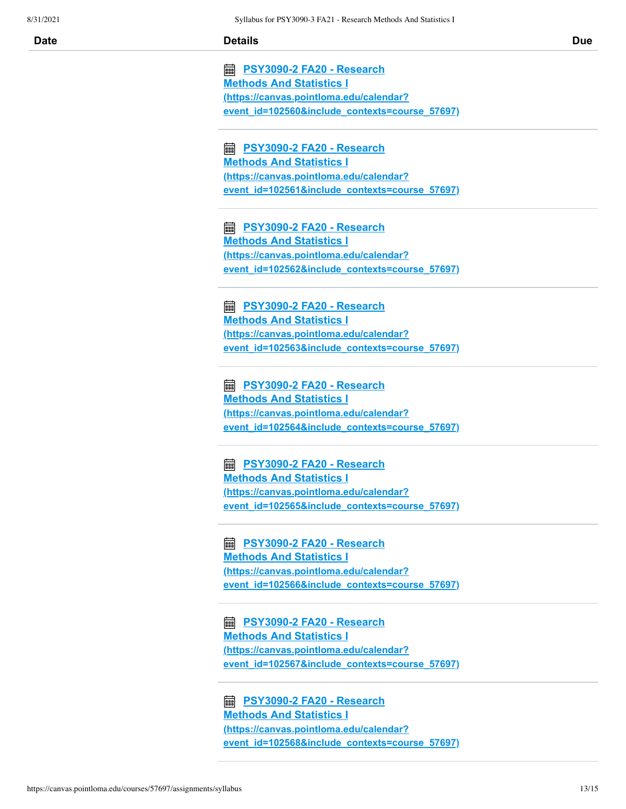**PSY3090-2 FA20 - Research Methods And Statistics I (https://canvas.pointloma.edu/calendar? [event\\_id=102560&include\\_contexts=course\\_57697\)](https://canvas.pointloma.edu/calendar?event_id=102560&include_contexts=course_57697)**

 **PSY3090-2 FA20 - Research Methods And Statistics I (https://canvas.pointloma.edu/calendar? [event\\_id=102561&include\\_contexts=course\\_57697\)](https://canvas.pointloma.edu/calendar?event_id=102561&include_contexts=course_57697)**

 **PSY3090-2 FA20 - Research Methods And Statistics I (https://canvas.pointloma.edu/calendar? [event\\_id=102562&include\\_contexts=course\\_57697\)](https://canvas.pointloma.edu/calendar?event_id=102562&include_contexts=course_57697)**

 **PSY3090-2 FA20 - Research Methods And Statistics I (https://canvas.pointloma.edu/calendar? [event\\_id=102563&include\\_contexts=course\\_57697\)](https://canvas.pointloma.edu/calendar?event_id=102563&include_contexts=course_57697)**

 **PSY3090-2 FA20 - Research Methods And Statistics I (https://canvas.pointloma.edu/calendar? [event\\_id=102564&include\\_contexts=course\\_57697\)](https://canvas.pointloma.edu/calendar?event_id=102564&include_contexts=course_57697)**

 **PSY3090-2 FA20 - Research Methods And Statistics I (https://canvas.pointloma.edu/calendar? [event\\_id=102565&include\\_contexts=course\\_57697\)](https://canvas.pointloma.edu/calendar?event_id=102565&include_contexts=course_57697)**

 **PSY3090-2 FA20 - Research Methods And Statistics I (https://canvas.pointloma.edu/calendar? [event\\_id=102566&include\\_contexts=course\\_57697\)](https://canvas.pointloma.edu/calendar?event_id=102566&include_contexts=course_57697)**

 **PSY3090-2 FA20 - Research Methods And Statistics I (https://canvas.pointloma.edu/calendar? [event\\_id=102567&include\\_contexts=course\\_57697\)](https://canvas.pointloma.edu/calendar?event_id=102567&include_contexts=course_57697)**

 **PSY3090-2 FA20 - Research Methods And Statistics I (https://canvas.pointloma.edu/calendar? [event\\_id=102568&include\\_contexts=course\\_57697\)](https://canvas.pointloma.edu/calendar?event_id=102568&include_contexts=course_57697)**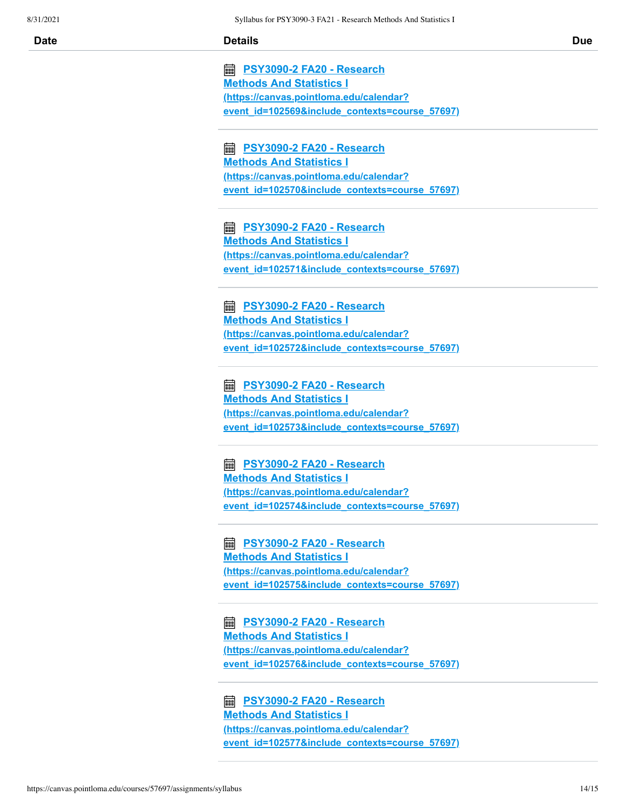**PSY3090-2 FA20 - Research Methods And Statistics I (https://canvas.pointloma.edu/calendar? [event\\_id=102569&include\\_contexts=course\\_57697\)](https://canvas.pointloma.edu/calendar?event_id=102569&include_contexts=course_57697)**

 **PSY3090-2 FA20 - Research Methods And Statistics I (https://canvas.pointloma.edu/calendar? [event\\_id=102570&include\\_contexts=course\\_57697\)](https://canvas.pointloma.edu/calendar?event_id=102570&include_contexts=course_57697)**

 **PSY3090-2 FA20 - Research Methods And Statistics I (https://canvas.pointloma.edu/calendar? [event\\_id=102571&include\\_contexts=course\\_57697\)](https://canvas.pointloma.edu/calendar?event_id=102571&include_contexts=course_57697)**

 **PSY3090-2 FA20 - Research Methods And Statistics I (https://canvas.pointloma.edu/calendar? [event\\_id=102572&include\\_contexts=course\\_57697\)](https://canvas.pointloma.edu/calendar?event_id=102572&include_contexts=course_57697)**

 **PSY3090-2 FA20 - Research Methods And Statistics I (https://canvas.pointloma.edu/calendar? [event\\_id=102573&include\\_contexts=course\\_57697\)](https://canvas.pointloma.edu/calendar?event_id=102573&include_contexts=course_57697)**

 **PSY3090-2 FA20 - Research Methods And Statistics I (https://canvas.pointloma.edu/calendar? [event\\_id=102574&include\\_contexts=course\\_57697\)](https://canvas.pointloma.edu/calendar?event_id=102574&include_contexts=course_57697)**

 **PSY3090-2 FA20 - Research Methods And Statistics I (https://canvas.pointloma.edu/calendar? [event\\_id=102575&include\\_contexts=course\\_57697\)](https://canvas.pointloma.edu/calendar?event_id=102575&include_contexts=course_57697)**

 **PSY3090-2 FA20 - Research Methods And Statistics I (https://canvas.pointloma.edu/calendar? [event\\_id=102576&include\\_contexts=course\\_57697\)](https://canvas.pointloma.edu/calendar?event_id=102576&include_contexts=course_57697)**

 **PSY3090-2 FA20 - Research Methods And Statistics I (https://canvas.pointloma.edu/calendar? [event\\_id=102577&include\\_contexts=course\\_57697\)](https://canvas.pointloma.edu/calendar?event_id=102577&include_contexts=course_57697)**